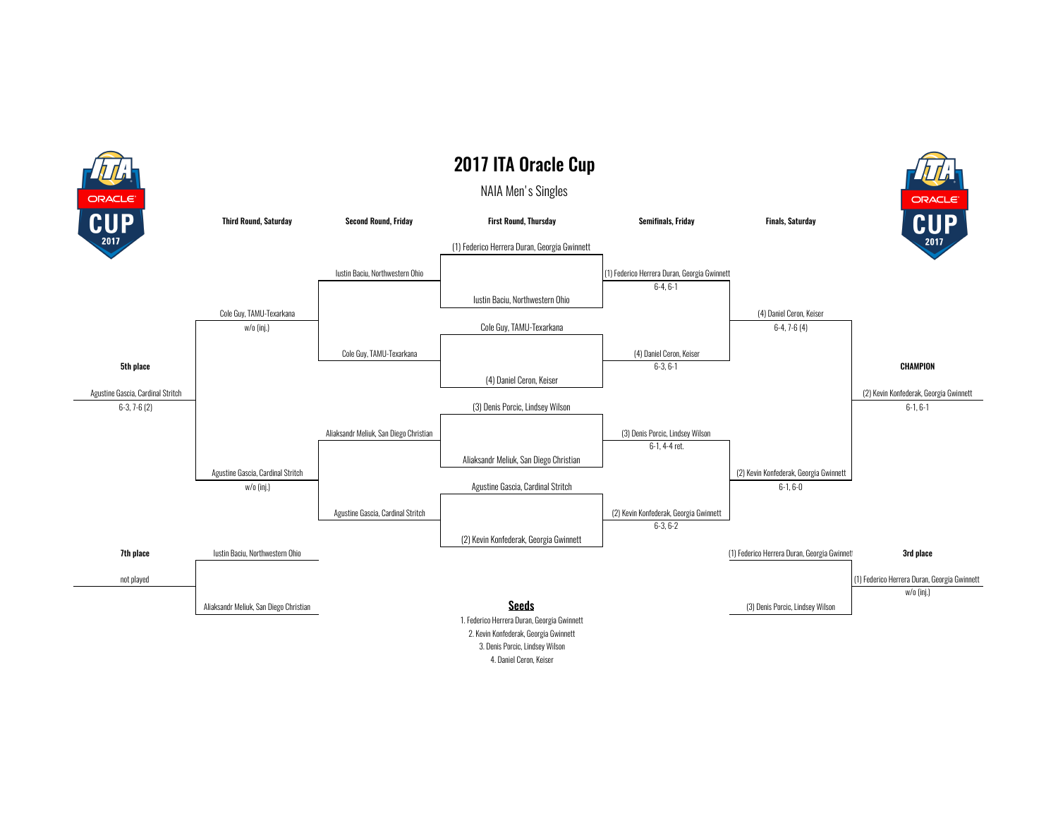